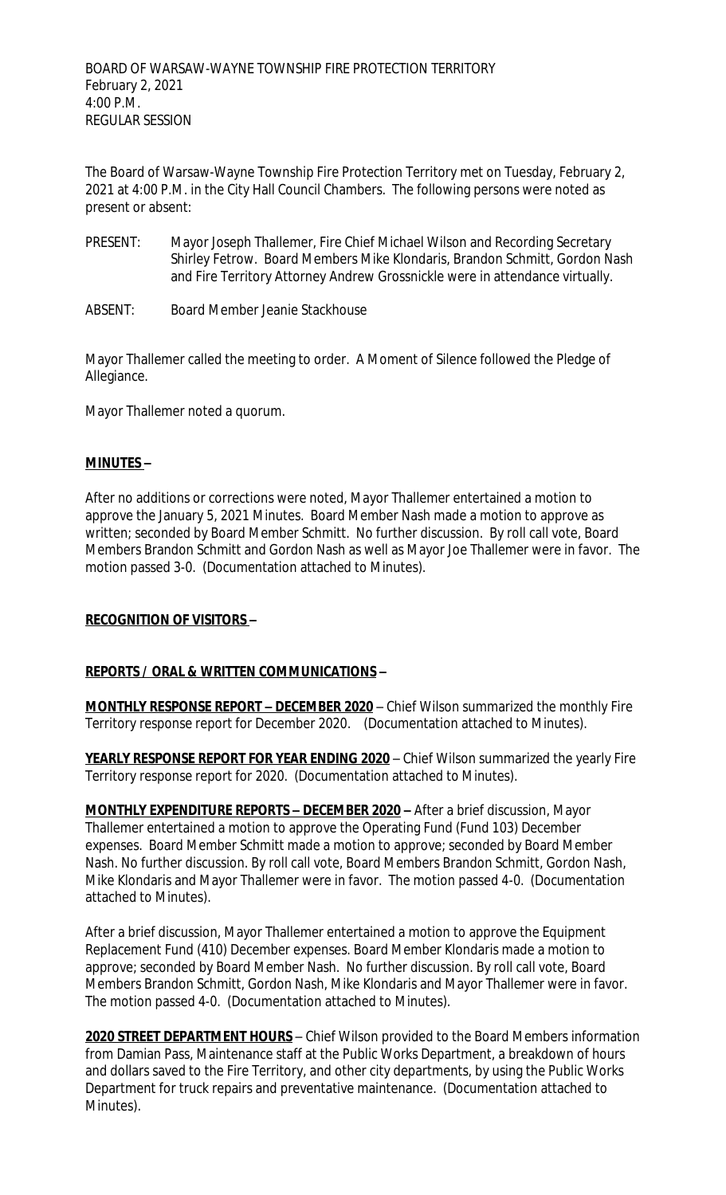The Board of Warsaw-Wayne Township Fire Protection Territory met on Tuesday, February 2, 2021 at 4:00 P.M. in the City Hall Council Chambers. The following persons were noted as present or absent:

- PRESENT: Mayor Joseph Thallemer, Fire Chief Michael Wilson and Recording Secretary Shirley Fetrow. Board Members Mike Klondaris, Brandon Schmitt, Gordon Nash and Fire Territory Attorney Andrew Grossnickle were in attendance virtually.
- ABSENT: Board Member Jeanie Stackhouse

Mayor Thallemer called the meeting to order. A Moment of Silence followed the Pledge of Allegiance.

Mayor Thallemer noted a quorum.

## **MINUTES –**

After no additions or corrections were noted, Mayor Thallemer entertained a motion to approve the January 5, 2021 Minutes. Board Member Nash made a motion to approve as written; seconded by Board Member Schmitt. No further discussion. By roll call vote, Board Members Brandon Schmitt and Gordon Nash as well as Mayor Joe Thallemer were in favor. The motion passed 3-0. (Documentation attached to Minutes).

# **RECOGNITION OF VISITORS –**

# **REPORTS / ORAL & WRITTEN COMMUNICATIONS –**

**MONTHLY RESPONSE REPORT - DECEMBER 2020** - Chief Wilson summarized the monthly Fire Territory response report for December 2020. (Documentation attached to Minutes).

YEARLY RESPONSE REPORT FOR YEAR ENDING 2020 - Chief Wilson summarized the yearly Fire Territory response report for 2020. (Documentation attached to Minutes).

**MONTHLY EXPENDITURE REPORTS – DECEMBER 2020 –** After a brief discussion, Mayor Thallemer entertained a motion to approve the Operating Fund (Fund 103) December expenses. Board Member Schmitt made a motion to approve; seconded by Board Member Nash. No further discussion. By roll call vote, Board Members Brandon Schmitt, Gordon Nash, Mike Klondaris and Mayor Thallemer were in favor. The motion passed 4-0. (Documentation attached to Minutes).

After a brief discussion, Mayor Thallemer entertained a motion to approve the Equipment Replacement Fund (410) December expenses. Board Member Klondaris made a motion to approve; seconded by Board Member Nash. No further discussion. By roll call vote, Board Members Brandon Schmitt, Gordon Nash, Mike Klondaris and Mayor Thallemer were in favor. The motion passed 4-0. (Documentation attached to Minutes).

**2020 STREET DEPARTMENT HOURS** – Chief Wilson provided to the Board Members information from Damian Pass, Maintenance staff at the Public Works Department, a breakdown of hours and dollars saved to the Fire Territory, and other city departments, by using the Public Works Department for truck repairs and preventative maintenance. (Documentation attached to Minutes).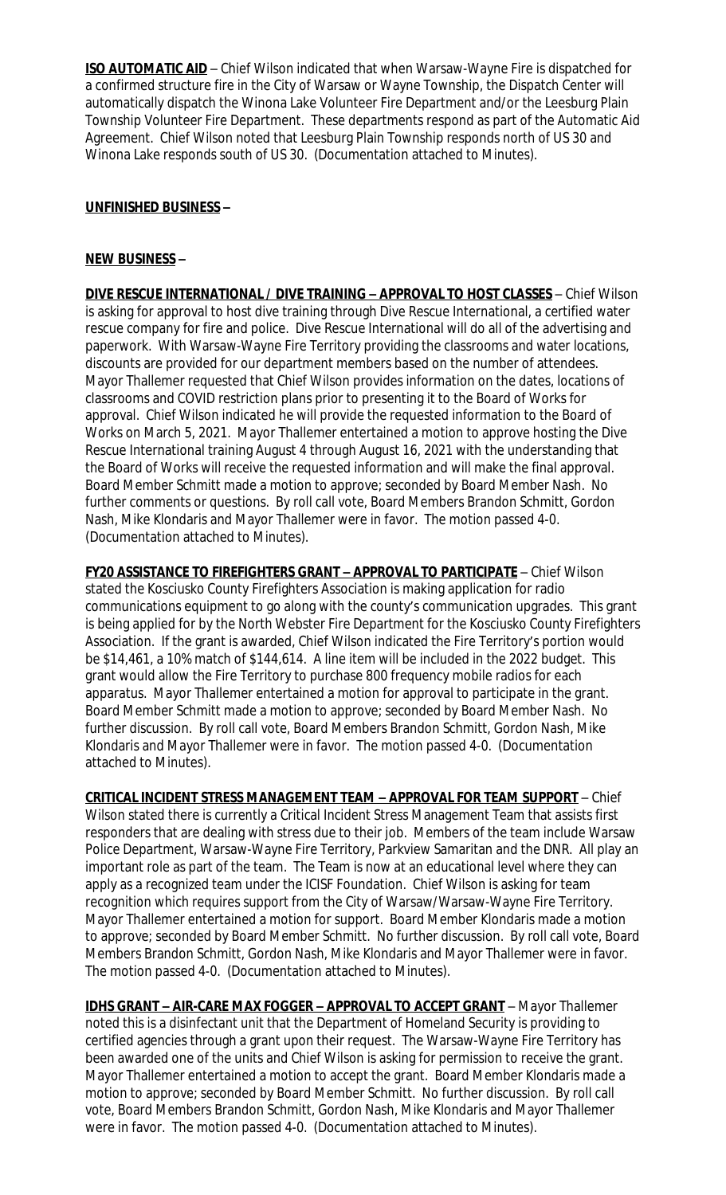**ISO AUTOMATIC AID** – Chief Wilson indicated that when Warsaw-Wayne Fire is dispatched for a confirmed structure fire in the City of Warsaw or Wayne Township, the Dispatch Center will automatically dispatch the Winona Lake Volunteer Fire Department and/or the Leesburg Plain Township Volunteer Fire Department. These departments respond as part of the Automatic Aid Agreement. Chief Wilson noted that Leesburg Plain Township responds north of US 30 and Winona Lake responds south of US 30. (Documentation attached to Minutes).

## **UNFINISHED BUSINESS –**

#### **NEW BUSINESS –**

**DIVE RESCUE INTERNATIONAL / DIVE TRAINING – APPROVAL TO HOST CLASSES** – Chief Wilson is asking for approval to host dive training through Dive Rescue International, a certified water rescue company for fire and police. Dive Rescue International will do all of the advertising and paperwork. With Warsaw-Wayne Fire Territory providing the classrooms and water locations, discounts are provided for our department members based on the number of attendees. Mayor Thallemer requested that Chief Wilson provides information on the dates, locations of classrooms and COVID restriction plans prior to presenting it to the Board of Works for approval. Chief Wilson indicated he will provide the requested information to the Board of Works on March 5, 2021. Mayor Thallemer entertained a motion to approve hosting the Dive Rescue International training August 4 through August 16, 2021 with the understanding that the Board of Works will receive the requested information and will make the final approval. Board Member Schmitt made a motion to approve; seconded by Board Member Nash. No further comments or questions. By roll call vote, Board Members Brandon Schmitt, Gordon Nash, Mike Klondaris and Mayor Thallemer were in favor. The motion passed 4-0. (Documentation attached to Minutes).

**FY20 ASSISTANCE TO FIREFIGHTERS GRANT – APPROVAL TO PARTICIPATE** – Chief Wilson stated the Kosciusko County Firefighters Association is making application for radio communications equipment to go along with the county's communication upgrades. This grant is being applied for by the North Webster Fire Department for the Kosciusko County Firefighters Association. If the grant is awarded, Chief Wilson indicated the Fire Territory's portion would be \$14,461, a 10% match of \$144,614. A line item will be included in the 2022 budget. This grant would allow the Fire Territory to purchase 800 frequency mobile radios for each apparatus. Mayor Thallemer entertained a motion for approval to participate in the grant. Board Member Schmitt made a motion to approve; seconded by Board Member Nash. No further discussion. By roll call vote, Board Members Brandon Schmitt, Gordon Nash, Mike Klondaris and Mayor Thallemer were in favor. The motion passed 4-0. (Documentation attached to Minutes).

**CRITICAL INCIDENT STRESS MANAGEMENT TEAM – APPROVAL FOR TEAM SUPPORT** – Chief Wilson stated there is currently a Critical Incident Stress Management Team that assists first responders that are dealing with stress due to their job. Members of the team include Warsaw Police Department, Warsaw-Wayne Fire Territory, Parkview Samaritan and the DNR. All play an important role as part of the team. The Team is now at an educational level where they can apply as a recognized team under the ICISF Foundation. Chief Wilson is asking for team recognition which requires support from the City of Warsaw/Warsaw-Wayne Fire Territory. Mayor Thallemer entertained a motion for support. Board Member Klondaris made a motion to approve; seconded by Board Member Schmitt. No further discussion. By roll call vote, Board Members Brandon Schmitt, Gordon Nash, Mike Klondaris and Mayor Thallemer were in favor. The motion passed 4-0. (Documentation attached to Minutes).

**IDHS GRANT – AIR-CARE MAX FOGGER – APPROVAL TO ACCEPT GRANT** – Mayor Thallemer noted this is a disinfectant unit that the Department of Homeland Security is providing to certified agencies through a grant upon their request. The Warsaw-Wayne Fire Territory has been awarded one of the units and Chief Wilson is asking for permission to receive the grant. Mayor Thallemer entertained a motion to accept the grant. Board Member Klondaris made a motion to approve; seconded by Board Member Schmitt. No further discussion. By roll call vote, Board Members Brandon Schmitt, Gordon Nash, Mike Klondaris and Mayor Thallemer were in favor. The motion passed 4-0. (Documentation attached to Minutes).